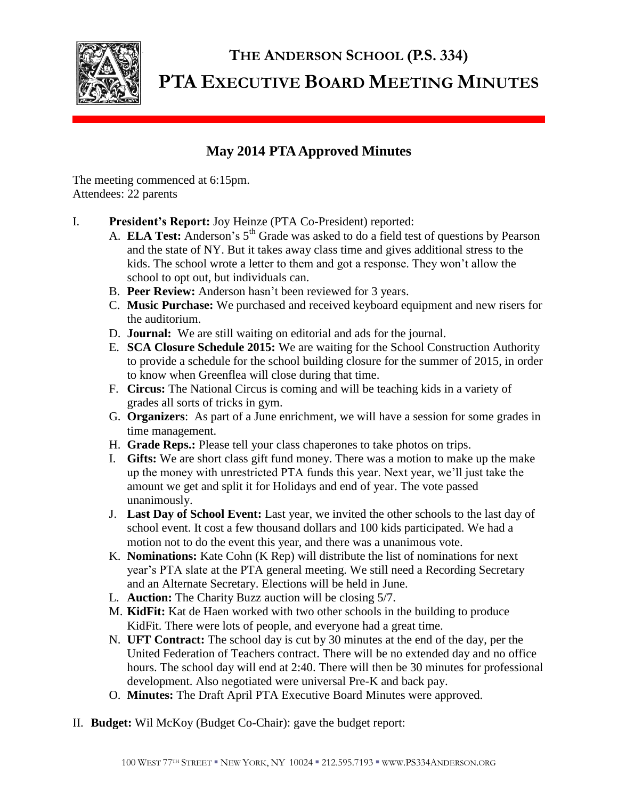

## **THE ANDERSON SCHOOL (P.S. 334) PTA EXECUTIVE BOARD MEETING MINUTES**

## **May 2014 PTA Approved Minutes**

The meeting commenced at 6:15pm. Attendees: 22 parents

- I. **President's Report:** Joy Heinze (PTA Co-President) reported:
	- A. **ELA Test:** Anderson's 5<sup>th</sup> Grade was asked to do a field test of questions by Pearson and the state of NY. But it takes away class time and gives additional stress to the kids. The school wrote a letter to them and got a response. They won't allow the school to opt out, but individuals can.
	- B. **Peer Review:** Anderson hasn't been reviewed for 3 years.
	- C. **Music Purchase:** We purchased and received keyboard equipment and new risers for the auditorium.
	- D. **Journal:** We are still waiting on editorial and ads for the journal.
	- E. **SCA Closure Schedule 2015:** We are waiting for the School Construction Authority to provide a schedule for the school building closure for the summer of 2015, in order to know when Greenflea will close during that time.
	- F. **Circus:** The National Circus is coming and will be teaching kids in a variety of grades all sorts of tricks in gym.
	- G. **Organizers**: As part of a June enrichment, we will have a session for some grades in time management.
	- H. **Grade Reps.:** Please tell your class chaperones to take photos on trips.
	- I. **Gifts:** We are short class gift fund money. There was a motion to make up the make up the money with unrestricted PTA funds this year. Next year, we'll just take the amount we get and split it for Holidays and end of year. The vote passed unanimously.
	- J. **Last Day of School Event:** Last year, we invited the other schools to the last day of school event. It cost a few thousand dollars and 100 kids participated. We had a motion not to do the event this year, and there was a unanimous vote.
	- K. **Nominations:** Kate Cohn (K Rep) will distribute the list of nominations for next year's PTA slate at the PTA general meeting. We still need a Recording Secretary and an Alternate Secretary. Elections will be held in June.
	- L. **Auction:** The Charity Buzz auction will be closing 5/7.
	- M. **KidFit:** Kat de Haen worked with two other schools in the building to produce KidFit. There were lots of people, and everyone had a great time.
	- N. **UFT Contract:** The school day is cut by 30 minutes at the end of the day, per the United Federation of Teachers contract. There will be no extended day and no office hours. The school day will end at 2:40. There will then be 30 minutes for professional development. Also negotiated were universal Pre-K and back pay.
	- O. **Minutes:** The Draft April PTA Executive Board Minutes were approved.
- II. **Budget:** Wil McKoy (Budget Co-Chair): gave the budget report: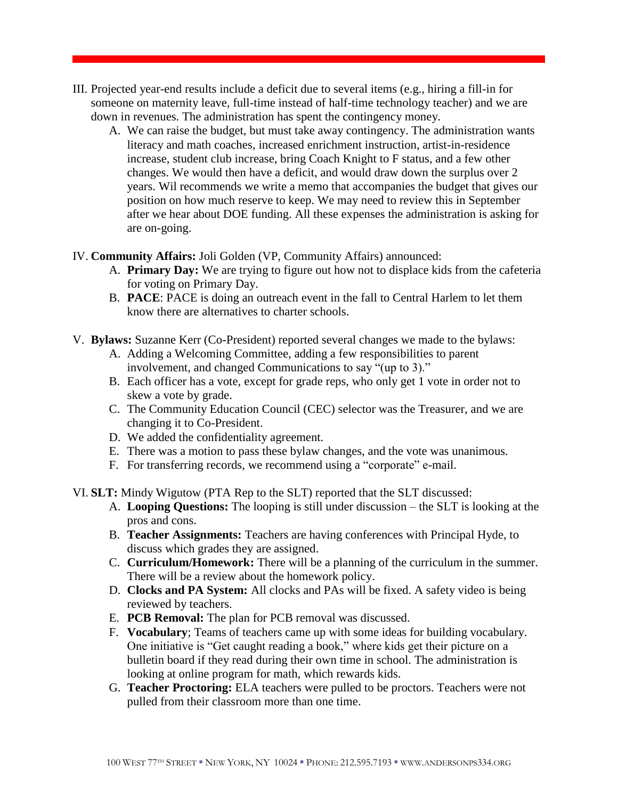- III. Projected year-end results include a deficit due to several items (e.g., hiring a fill-in for someone on maternity leave, full-time instead of half-time technology teacher) and we are down in revenues. The administration has spent the contingency money.
	- A. We can raise the budget, but must take away contingency. The administration wants literacy and math coaches, increased enrichment instruction, artist-in-residence increase, student club increase, bring Coach Knight to F status, and a few other changes. We would then have a deficit, and would draw down the surplus over 2 years. Wil recommends we write a memo that accompanies the budget that gives our position on how much reserve to keep. We may need to review this in September after we hear about DOE funding. All these expenses the administration is asking for are on-going.

## IV. **Community Affairs:** Joli Golden (VP, Community Affairs) announced:

- A. **Primary Day:** We are trying to figure out how not to displace kids from the cafeteria for voting on Primary Day.
- B. **PACE**: PACE is doing an outreach event in the fall to Central Harlem to let them know there are alternatives to charter schools.
- V. **Bylaws:** Suzanne Kerr (Co-President) reported several changes we made to the bylaws:
	- A. Adding a Welcoming Committee, adding a few responsibilities to parent involvement, and changed Communications to say "(up to 3)."
	- B. Each officer has a vote, except for grade reps, who only get 1 vote in order not to skew a vote by grade.
	- C. The Community Education Council (CEC) selector was the Treasurer, and we are changing it to Co-President.
	- D. We added the confidentiality agreement.
	- E. There was a motion to pass these bylaw changes, and the vote was unanimous.
	- F. For transferring records, we recommend using a "corporate" e-mail.

VI. **SLT:** Mindy Wigutow (PTA Rep to the SLT) reported that the SLT discussed:

- A. **Looping Questions:** The looping is still under discussion the SLT is looking at the pros and cons.
- B. **Teacher Assignments:** Teachers are having conferences with Principal Hyde, to discuss which grades they are assigned.
- C. **Curriculum/Homework:** There will be a planning of the curriculum in the summer. There will be a review about the homework policy.
- D. **Clocks and PA System:** All clocks and PAs will be fixed. A safety video is being reviewed by teachers.
- E. **PCB Removal:** The plan for PCB removal was discussed.
- F. **Vocabulary**; Teams of teachers came up with some ideas for building vocabulary. One initiative is "Get caught reading a book," where kids get their picture on a bulletin board if they read during their own time in school. The administration is looking at online program for math, which rewards kids.
- G. **Teacher Proctoring:** ELA teachers were pulled to be proctors. Teachers were not pulled from their classroom more than one time.